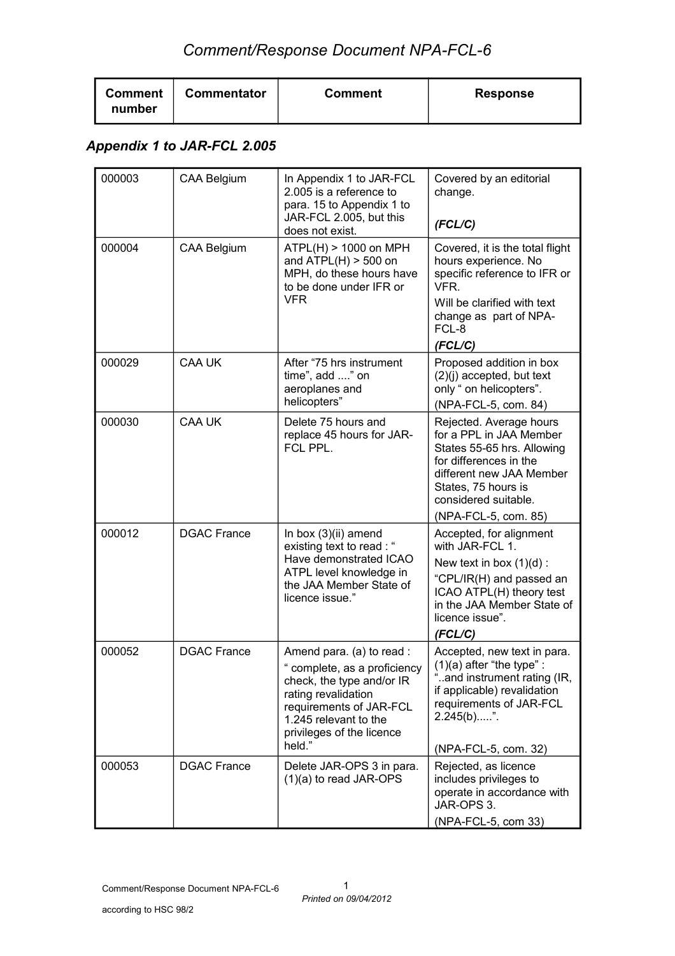| <b>Comment</b><br><b>Commentator</b><br><b>Comment</b><br>number | <b>Response</b> |
|------------------------------------------------------------------|-----------------|
|------------------------------------------------------------------|-----------------|

### *Appendix 1 to JAR-FCL 2.005*

| 000003 | <b>CAA Belgium</b> | In Appendix 1 to JAR-FCL<br>2.005 is a reference to<br>para. 15 to Appendix 1 to<br>JAR-FCL 2.005, but this<br>does not exist.                                                                         | Covered by an editorial<br>change.<br>(FCL/C)                                                                                                                                                                 |
|--------|--------------------|--------------------------------------------------------------------------------------------------------------------------------------------------------------------------------------------------------|---------------------------------------------------------------------------------------------------------------------------------------------------------------------------------------------------------------|
| 000004 | <b>CAA Belgium</b> | ATPL(H) > 1000 on MPH<br>and $ATPL(H) > 500$ on<br>MPH, do these hours have<br>to be done under IFR or<br><b>VFR</b>                                                                                   | Covered, it is the total flight<br>hours experience. No<br>specific reference to IFR or<br>VFR.<br>Will be clarified with text<br>change as part of NPA-<br>FCL-8<br>(FCL/C)                                  |
| 000029 | <b>CAA UK</b>      | After "75 hrs instrument<br>time", add " on<br>aeroplanes and<br>helicopters"                                                                                                                          | Proposed addition in box<br>$(2)(j)$ accepted, but text<br>only " on helicopters".<br>(NPA-FCL-5, com. 84)                                                                                                    |
| 000030 | CAA UK             | Delete 75 hours and<br>replace 45 hours for JAR-<br>FCL PPL.                                                                                                                                           | Rejected. Average hours<br>for a PPL in JAA Member<br>States 55-65 hrs. Allowing<br>for differences in the<br>different new JAA Member<br>States, 75 hours is<br>considered suitable.<br>(NPA-FCL-5, com. 85) |
| 000012 | <b>DGAC France</b> | In box (3)(ii) amend<br>existing text to read : "<br>Have demonstrated ICAO<br>ATPL level knowledge in<br>the JAA Member State of<br>licence issue."                                                   | Accepted, for alignment<br>with JAR-FCL 1.<br>New text in box $(1)(d)$ :<br>"CPL/IR(H) and passed an<br>ICAO ATPL(H) theory test<br>in the JAA Member State of<br>licence issue".<br>(FCL/C)                  |
| 000052 | <b>DGAC France</b> | Amend para. (a) to read :<br>complete, as a proficiency<br>check, the type and/or IR<br>rating revalidation<br>requirements of JAR-FCL<br>1.245 relevant to the<br>privileges of the licence<br>held." | Accepted, new text in para.<br>$(1)(a)$ after "the type" :<br>and instrument rating (IR,<br>if applicable) revalidation<br>requirements of JAR-FCL<br>2.245(b)".<br>(NPA-FCL-5, com. 32)                      |
| 000053 | <b>DGAC France</b> | Delete JAR-OPS 3 in para.<br>$(1)(a)$ to read JAR-OPS                                                                                                                                                  | Rejected, as licence<br>includes privileges to<br>operate in accordance with<br>JAR-OPS 3.<br>(NPA-FCL-5, com 33)                                                                                             |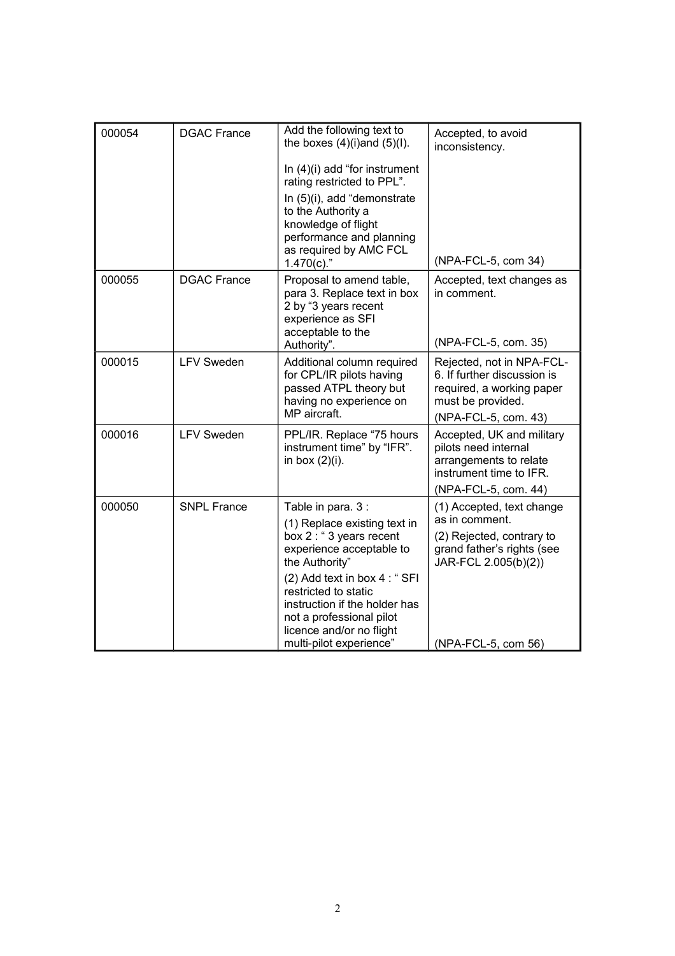| 000054 | <b>DGAC France</b> | Add the following text to<br>the boxes $(4)(i)$ and $(5)(l)$ .<br>In $(4)(i)$ add "for instrument<br>rating restricted to PPL".<br>In (5)(i), add "demonstrate<br>to the Authority a<br>knowledge of flight<br>performance and planning<br>as required by AMC FCL                                        | Accepted, to avoid<br>inconsistency.                                                                                                                  |
|--------|--------------------|----------------------------------------------------------------------------------------------------------------------------------------------------------------------------------------------------------------------------------------------------------------------------------------------------------|-------------------------------------------------------------------------------------------------------------------------------------------------------|
| 000055 | <b>DGAC France</b> | $1.470(c).$ "<br>Proposal to amend table,<br>para 3. Replace text in box<br>2 by "3 years recent<br>experience as SFI<br>acceptable to the<br>Authority".                                                                                                                                                | (NPA-FCL-5, com 34)<br>Accepted, text changes as<br>in comment.<br>(NPA-FCL-5, com. 35)                                                               |
| 000015 | <b>LFV Sweden</b>  | Additional column required<br>for CPL/IR pilots having<br>passed ATPL theory but<br>having no experience on<br>MP aircraft.                                                                                                                                                                              | Rejected, not in NPA-FCL-<br>6. If further discussion is<br>required, a working paper<br>must be provided.<br>(NPA-FCL-5, com. 43)                    |
| 000016 | <b>LFV Sweden</b>  | PPL/IR. Replace "75 hours<br>instrument time" by "IFR".<br>in box $(2)(i)$ .                                                                                                                                                                                                                             | Accepted, UK and military<br>pilots need internal<br>arrangements to relate<br>instrument time to IFR.<br>(NPA-FCL-5, com. 44)                        |
| 000050 | <b>SNPL France</b> | Table in para. 3 :<br>(1) Replace existing text in<br>box 2 : " 3 years recent<br>experience acceptable to<br>the Authority"<br>(2) Add text in box 4 : "SFI<br>restricted to static<br>instruction if the holder has<br>not a professional pilot<br>licence and/or no flight<br>multi-pilot experience" | (1) Accepted, text change<br>as in comment.<br>(2) Rejected, contrary to<br>grand father's rights (see<br>JAR-FCL 2.005(b)(2))<br>(NPA-FCL-5, com 56) |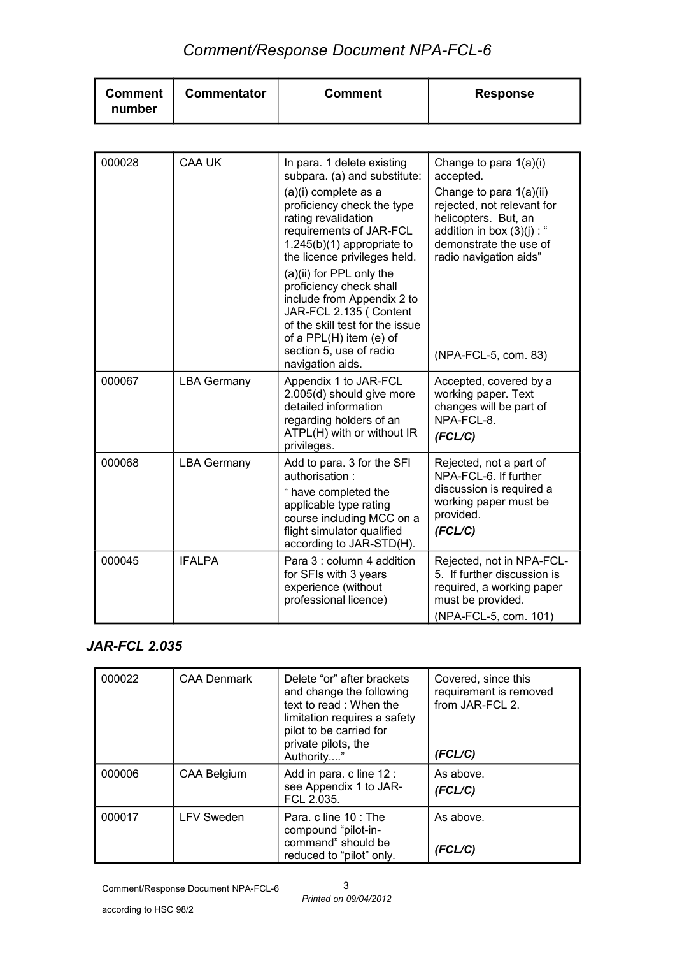| <b>Commentator</b><br><b>Comment</b><br><b>Response</b><br><b>Comment</b><br>number |
|-------------------------------------------------------------------------------------|
|-------------------------------------------------------------------------------------|

| 000028 | <b>CAA UK</b>      | In para. 1 delete existing<br>subpara. (a) and substitute:                                                                                                                                                               | Change to para 1(a)(i)<br>accepted.                                                                                                                               |
|--------|--------------------|--------------------------------------------------------------------------------------------------------------------------------------------------------------------------------------------------------------------------|-------------------------------------------------------------------------------------------------------------------------------------------------------------------|
|        |                    | (a)(i) complete as a<br>proficiency check the type<br>rating revalidation<br>requirements of JAR-FCL<br>$1.245(b)(1)$ appropriate to<br>the licence privileges held.                                                     | Change to para 1(a)(ii)<br>rejected, not relevant for<br>helicopters. But, an<br>addition in box $(3)(j)$ : "<br>demonstrate the use of<br>radio navigation aids" |
|        |                    | (a)(ii) for PPL only the<br>proficiency check shall<br>include from Appendix 2 to<br>JAR-FCL 2.135 (Content<br>of the skill test for the issue<br>of a PPL(H) item (e) of<br>section 5, use of radio<br>navigation aids. | (NPA-FCL-5, com. 83)                                                                                                                                              |
| 000067 | <b>LBA Germany</b> | Appendix 1 to JAR-FCL<br>2.005(d) should give more<br>detailed information<br>regarding holders of an<br>ATPL(H) with or without IR<br>privileges.                                                                       | Accepted, covered by a<br>working paper. Text<br>changes will be part of<br>NPA-FCL-8.<br>(FCL/C)                                                                 |
| 000068 | <b>LBA Germany</b> | Add to para. 3 for the SFI<br>authorisation:<br>" have completed the<br>applicable type rating<br>course including MCC on a<br>flight simulator qualified<br>according to JAR-STD(H).                                    | Rejected, not a part of<br>NPA-FCL-6. If further<br>discussion is required a<br>working paper must be<br>provided.<br>(FCL/C)                                     |
| 000045 | <b>IFALPA</b>      | Para 3 : column 4 addition<br>for SFIs with 3 years<br>experience (without<br>professional licence)                                                                                                                      | Rejected, not in NPA-FCL-<br>5. If further discussion is<br>required, a working paper<br>must be provided.<br>(NPA-FCL-5, com. 101)                               |

### *JAR-FCL 2.035*

| 000022 | <b>CAA Denmark</b> | Delete "or" after brackets<br>and change the following<br>text to read: When the<br>limitation requires a safety<br>pilot to be carried for<br>private pilots, the<br>Authority" | Covered, since this<br>requirement is removed<br>from JAR-FCL 2.<br>(FCL/C) |
|--------|--------------------|----------------------------------------------------------------------------------------------------------------------------------------------------------------------------------|-----------------------------------------------------------------------------|
| 000006 | <b>CAA Belgium</b> | Add in para. c line 12 :<br>see Appendix 1 to JAR-<br>FCL 2.035.                                                                                                                 | As above.<br>(FCL/C)                                                        |
| 000017 | <b>LFV Sweden</b>  | Para, c line 10 : The<br>compound "pilot-in-<br>command" should be<br>reduced to "pilot" only.                                                                                   | As above.<br>(FCL/C)                                                        |

*Printed on 09/04/2012* 3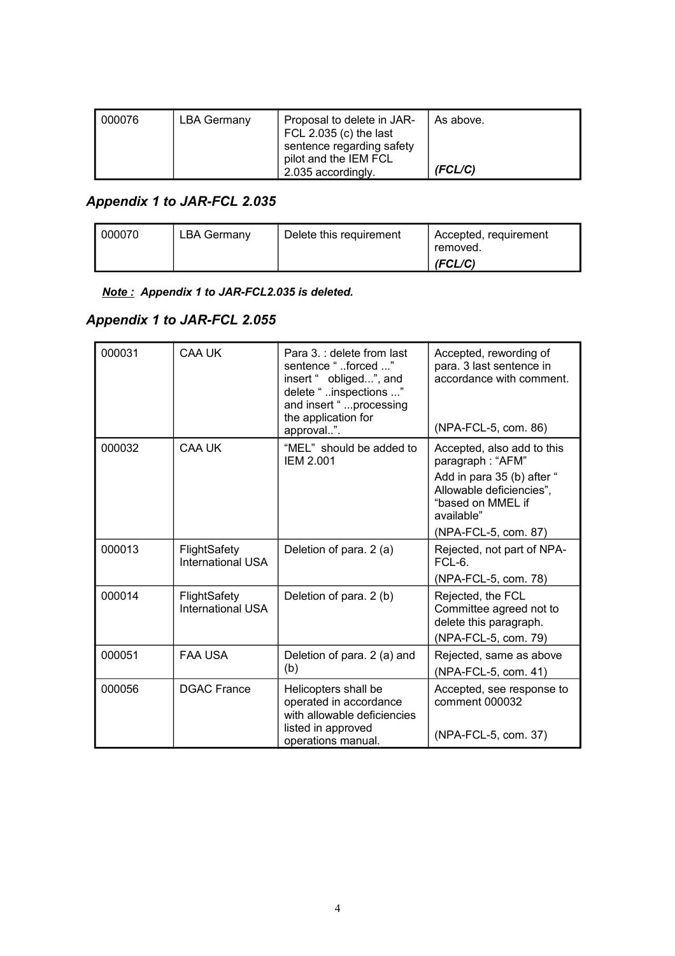| 000076 | LBA Germany | Proposal to delete in JAR-<br>FCL 2.035 (c) the last<br>sentence regarding safety<br>pilot and the IEM FCL | As above. |
|--------|-------------|------------------------------------------------------------------------------------------------------------|-----------|
|        |             | 2.035 accordingly.                                                                                         | (FCL/C)   |

## *Appendix 1 to JAR-FCL 2.035*

| 000070 | LBA Germany | Delete this requirement | Accepted, requirement<br>removed. |
|--------|-------------|-------------------------|-----------------------------------|
|        |             |                         | (FCL/C)                           |

#### *Note : Appendix 1 to JAR-FCL2.035 is deleted.*

### *Appendix 1 to JAR-FCL 2.055*

| 000031 | CAA UK                                   | Para 3.: delete from last<br>sentence "forced "<br>insert " obliged", and<br>delete " inspections "<br>and insert "  processing<br>the application for<br>approval". | Accepted, rewording of<br>para. 3 last sentence in<br>accordance with comment.<br>(NPA-FCL-5, com. 86)                                                              |
|--------|------------------------------------------|----------------------------------------------------------------------------------------------------------------------------------------------------------------------|---------------------------------------------------------------------------------------------------------------------------------------------------------------------|
| 000032 | <b>CAA UK</b>                            | "MEL" should be added to<br><b>IEM 2.001</b>                                                                                                                         | Accepted, also add to this<br>paragraph: "AFM"<br>Add in para 35 (b) after "<br>Allowable deficiencies",<br>"based on MMEL if<br>available"<br>(NPA-FCL-5, com. 87) |
| 000013 | FlightSafety<br><b>International USA</b> | Deletion of para. 2 (a)                                                                                                                                              | Rejected, not part of NPA-<br>$FCL-6$<br>(NPA-FCL-5, com. 78)                                                                                                       |
| 000014 | FlightSafety<br>International USA        | Deletion of para. 2 (b)                                                                                                                                              | Rejected, the FCL<br>Committee agreed not to<br>delete this paragraph.<br>(NPA-FCL-5, com. 79)                                                                      |
| 000051 | <b>FAA USA</b>                           | Deletion of para. 2 (a) and<br>(b)                                                                                                                                   | Rejected, same as above<br>(NPA-FCL-5, com. 41)                                                                                                                     |
| 000056 | <b>DGAC France</b>                       | Helicopters shall be<br>operated in accordance<br>with allowable deficiencies<br>listed in approved<br>operations manual.                                            | Accepted, see response to<br>comment 000032<br>(NPA-FCL-5, com. 37)                                                                                                 |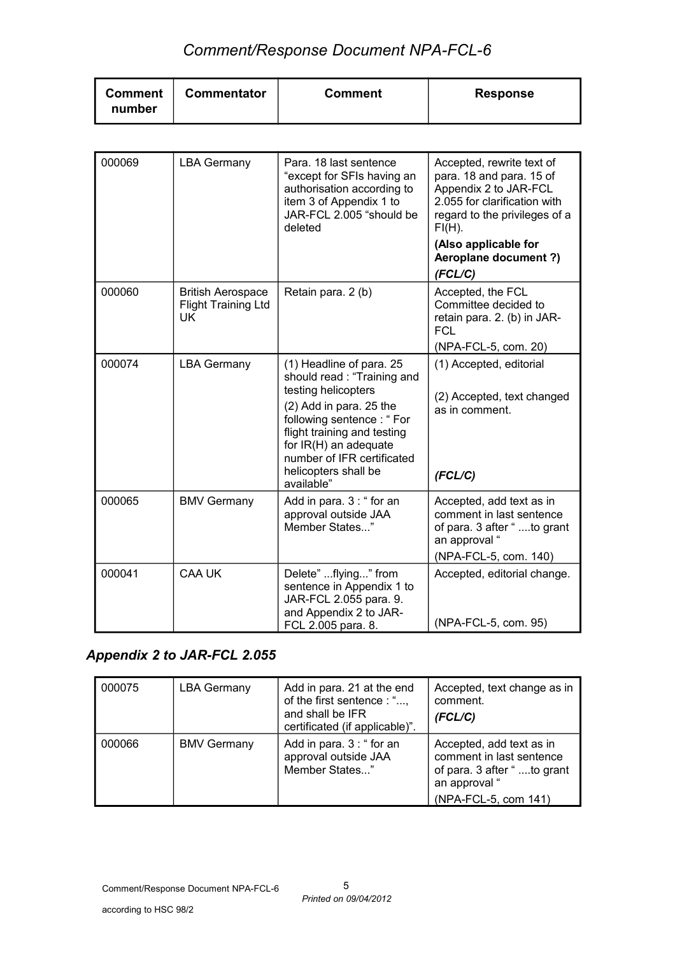| <b>Comment</b><br><b>Commentator</b><br>number | <b>Comment</b> | <b>Response</b> |
|------------------------------------------------|----------------|-----------------|
|------------------------------------------------|----------------|-----------------|

| 000069 | <b>LBA Germany</b>                                                  | Para, 18 last sentence<br>"except for SFIs having an<br>authorisation according to<br>item 3 of Appendix 1 to<br>JAR-FCL 2.005 "should be<br>deleted                                                                                                              | Accepted, rewrite text of<br>para. 18 and para. 15 of<br>Appendix 2 to JAR-FCL<br>2.055 for clarification with<br>regard to the privileges of a<br>$FI(H)$ .<br>(Also applicable for<br><b>Aeroplane document ?)</b> |
|--------|---------------------------------------------------------------------|-------------------------------------------------------------------------------------------------------------------------------------------------------------------------------------------------------------------------------------------------------------------|----------------------------------------------------------------------------------------------------------------------------------------------------------------------------------------------------------------------|
|        |                                                                     |                                                                                                                                                                                                                                                                   | (FCL/C)                                                                                                                                                                                                              |
| 000060 | <b>British Aerospace</b><br><b>Flight Training Ltd</b><br><b>UK</b> | Retain para. 2 (b)                                                                                                                                                                                                                                                | Accepted, the FCL<br>Committee decided to<br>retain para. 2. (b) in JAR-<br><b>FCL</b>                                                                                                                               |
|        |                                                                     |                                                                                                                                                                                                                                                                   | (NPA-FCL-5, com. 20)                                                                                                                                                                                                 |
| 000074 | <b>LBA Germany</b>                                                  | (1) Headline of para. 25<br>should read: "Training and<br>testing helicopters<br>(2) Add in para. 25 the<br>following sentence : "For<br>flight training and testing<br>for IR(H) an adequate<br>number of IFR certificated<br>helicopters shall be<br>available" | (1) Accepted, editorial<br>(2) Accepted, text changed<br>as in comment.<br>(FCL/C)                                                                                                                                   |
| 000065 | <b>BMV Germany</b>                                                  | Add in para. 3 : " for an<br>approval outside JAA<br>Member States"                                                                                                                                                                                               | Accepted, add text as in<br>comment in last sentence<br>of para. 3 after " to grant<br>an approval "<br>(NPA-FCL-5, com. 140)                                                                                        |
| 000041 | <b>CAA UK</b>                                                       | Delete" flying" from<br>sentence in Appendix 1 to<br>JAR-FCL 2.055 para. 9.<br>and Appendix 2 to JAR-<br>FCL 2.005 para. 8.                                                                                                                                       | Accepted, editorial change.<br>(NPA-FCL-5, com. 95)                                                                                                                                                                  |

## *Appendix 2 to JAR-FCL 2.055*

| 000075 | <b>LBA Germany</b> | Add in para. 21 at the end<br>of the first sentence : ",<br>and shall be IFR<br>certificated (if applicable)". | Accepted, text change as in<br>comment.<br>(FCL/C)                                                                          |
|--------|--------------------|----------------------------------------------------------------------------------------------------------------|-----------------------------------------------------------------------------------------------------------------------------|
| 000066 | <b>BMV Germany</b> | Add in para. 3 : " for an<br>approval outside JAA<br>Member States"                                            | Accepted, add text as in<br>comment in last sentence<br>of para. 3 after "to grant<br>an approval "<br>(NPA-FCL-5, com 141) |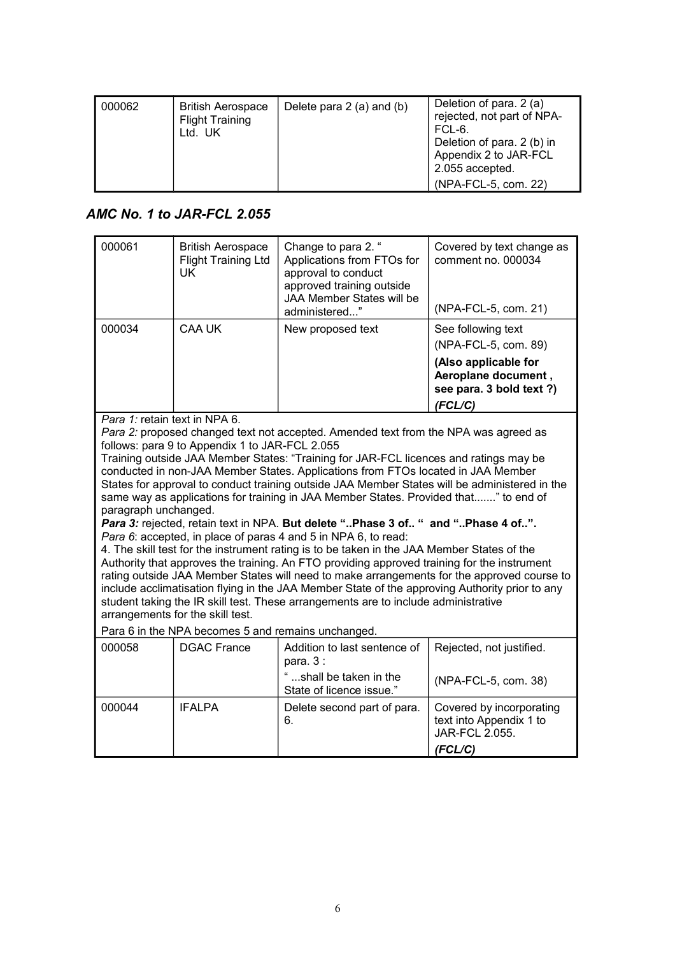| 000062 | <b>British Aerospace</b><br><b>Flight Training</b><br>Ltd. UK | Delete para $2$ (a) and (b) | Deletion of para. 2 (a)<br>rejected, not part of NPA-<br>FCL-6.<br>Deletion of para. 2 (b) in<br>Appendix 2 to JAR-FCL<br>2.055 accepted. |
|--------|---------------------------------------------------------------|-----------------------------|-------------------------------------------------------------------------------------------------------------------------------------------|
|        |                                                               |                             | (NPA-FCL-5, com. 22)                                                                                                                      |

### *AMC No. 1 to JAR-FCL 2.055*

| 000061                                                | <b>British Aerospace</b><br><b>Flight Training Ltd</b><br><b>UK</b>                                                                      | Change to para 2. "<br>Applications from FTOs for<br>approval to conduct<br>approved training outside<br>JAA Member States will be<br>administered"                                                                                                                                                                                                                                                                                                                                                                                                                                                                                                                                                                                                                                                                                                                                                                                                                                                                                                                                                | Covered by text change as<br>comment no. 000034<br>(NPA-FCL-5, com. 21)                                                          |
|-------------------------------------------------------|------------------------------------------------------------------------------------------------------------------------------------------|----------------------------------------------------------------------------------------------------------------------------------------------------------------------------------------------------------------------------------------------------------------------------------------------------------------------------------------------------------------------------------------------------------------------------------------------------------------------------------------------------------------------------------------------------------------------------------------------------------------------------------------------------------------------------------------------------------------------------------------------------------------------------------------------------------------------------------------------------------------------------------------------------------------------------------------------------------------------------------------------------------------------------------------------------------------------------------------------------|----------------------------------------------------------------------------------------------------------------------------------|
| 000034                                                | CAA UK                                                                                                                                   | New proposed text                                                                                                                                                                                                                                                                                                                                                                                                                                                                                                                                                                                                                                                                                                                                                                                                                                                                                                                                                                                                                                                                                  | See following text<br>(NPA-FCL-5, com. 89)<br>(Also applicable for<br>Aeroplane document,<br>see para. 3 bold text ?)<br>(FCL/C) |
| Para 1: retain text in NPA 6.<br>paragraph unchanged. | follows: para 9 to Appendix 1 to JAR-FCL 2.055<br>arrangements for the skill test.<br>Para 6 in the NPA becomes 5 and remains unchanged. | Para 2: proposed changed text not accepted. Amended text from the NPA was agreed as<br>Training outside JAA Member States: "Training for JAR-FCL licences and ratings may be<br>conducted in non-JAA Member States. Applications from FTOs located in JAA Member<br>States for approval to conduct training outside JAA Member States will be administered in the<br>same way as applications for training in JAA Member States. Provided that" to end of<br>Para 3: rejected, retain text in NPA. But delete "Phase 3 of " and "Phase 4 of".<br>Para 6: accepted, in place of paras 4 and 5 in NPA 6, to read:<br>4. The skill test for the instrument rating is to be taken in the JAA Member States of the<br>Authority that approves the training. An FTO providing approved training for the instrument<br>rating outside JAA Member States will need to make arrangements for the approved course to<br>include acclimatisation flying in the JAA Member State of the approving Authority prior to any<br>student taking the IR skill test. These arrangements are to include administrative |                                                                                                                                  |
| 000058                                                | <b>DGAC France</b>                                                                                                                       | Addition to last sentence of<br>para. $3:$<br>"shall be taken in the<br>State of licence issue."                                                                                                                                                                                                                                                                                                                                                                                                                                                                                                                                                                                                                                                                                                                                                                                                                                                                                                                                                                                                   | Rejected, not justified.<br>(NPA-FCL-5, com. 38)                                                                                 |
| 000044                                                | <b>IFALPA</b>                                                                                                                            | Delete second part of para.<br>6.                                                                                                                                                                                                                                                                                                                                                                                                                                                                                                                                                                                                                                                                                                                                                                                                                                                                                                                                                                                                                                                                  | Covered by incorporating<br>text into Appendix 1 to<br>JAR-FCL 2.055.<br>(FCL/C)                                                 |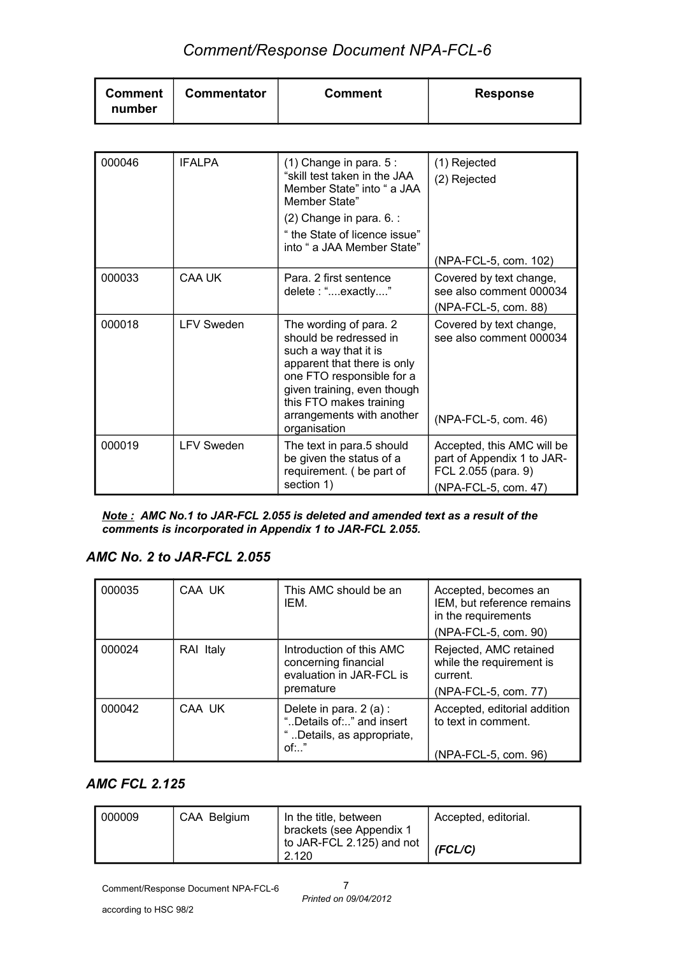| <b>Comment</b><br>number | Commentator | <b>Comment</b> | <b>Response</b> |
|--------------------------|-------------|----------------|-----------------|
|--------------------------|-------------|----------------|-----------------|

| 000046 | <b>IFALPA</b>     | $(1)$ Change in para. $5$ :<br>"skill test taken in the JAA<br>Member State" into " a JAA<br>Member State"<br>$(2)$ Change in para. 6. :<br>" the State of licence issue"<br>into " a JAA Member State"                                      | (1) Rejected<br>(2) Rejected<br>(NPA-FCL-5, com. 102)                                                   |
|--------|-------------------|----------------------------------------------------------------------------------------------------------------------------------------------------------------------------------------------------------------------------------------------|---------------------------------------------------------------------------------------------------------|
| 000033 | CAA UK            | Para, 2 first sentence<br>delete: "exactly"                                                                                                                                                                                                  | Covered by text change,<br>see also comment 000034<br>(NPA-FCL-5, com. 88)                              |
| 000018 | <b>LFV Sweden</b> | The wording of para. 2<br>should be redressed in<br>such a way that it is<br>apparent that there is only<br>one FTO responsible for a<br>given training, even though<br>this FTO makes training<br>arrangements with another<br>organisation | Covered by text change,<br>see also comment 000034<br>(NPA-FCL-5, com. 46)                              |
| 000019 | <b>LFV Sweden</b> | The text in para.5 should<br>be given the status of a<br>requirement. (be part of<br>section 1)                                                                                                                                              | Accepted, this AMC will be<br>part of Appendix 1 to JAR-<br>FCL 2.055 (para. 9)<br>(NPA-FCL-5, com. 47) |

*Note : AMC No.1 to JAR-FCL 2.055 is deleted and amended text as a result of the comments is incorporated in Appendix 1 to JAR-FCL 2.055.*

#### *AMC No. 2 to JAR-FCL 2.055*

| 000035 | CAA UK    | This AMC should be an<br>IFM.                                                                | Accepted, becomes an<br>IEM, but reference remains<br>in the requirements<br>(NPA-FCL-5, com. 90) |
|--------|-----------|----------------------------------------------------------------------------------------------|---------------------------------------------------------------------------------------------------|
| 000024 | RAI Italy | Introduction of this AMC<br>concerning financial<br>evaluation in JAR-FCL is<br>premature    | Rejected, AMC retained<br>while the requirement is<br>current.<br>(NPA-FCL-5, com. 77)            |
| 000042 | CAA UK    | Delete in para. $2(a)$ :<br>"Details of " and insert<br>"Details, as appropriate,<br>$of:$ " | Accepted, editorial addition<br>to text in comment.<br>(NPA-FCL-5, com. 96)                       |

#### *AMC FCL 2.125*

| 000009 | CAA Belgium | In the title, between<br>brackets (see Appendix 1 | Accepted, editorial. |
|--------|-------------|---------------------------------------------------|----------------------|
|        |             | to JAR-FCL 2.125) and not<br>2.120                | (FCL/C)              |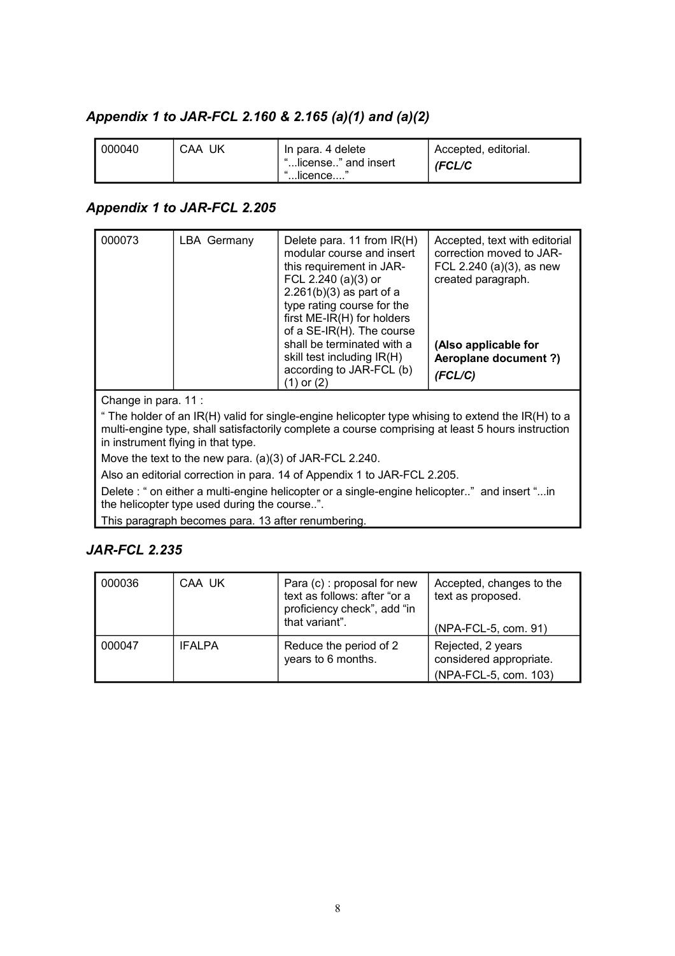### *Appendix 1 to JAR-FCL 2.160 & 2.165 (a)(1) and (a)(2)*

| 000040 | CAA UK | In para. 4 delete<br>"license" and insert | <sup>1</sup> Accepted, editorial.<br>(FCL/C |
|--------|--------|-------------------------------------------|---------------------------------------------|
|        |        | '…licence….                               |                                             |

#### *Appendix 1 to JAR-FCL 2.205*

| 000073                                                                                                                                                                                                                                       | <b>LBA Germany</b>                                                       | Delete para. 11 from IR(H)<br>modular course and insert<br>this requirement in JAR-<br>FCL 2.240 (a)(3) or<br>$2.261(b)(3)$ as part of a<br>type rating course for the<br>first ME-IR(H) for holders<br>of a SE-IR(H). The course<br>shall be terminated with a<br>skill test including IR(H)<br>according to JAR-FCL (b)<br>$(1)$ or $(2)$ | Accepted, text with editorial<br>correction moved to JAR-<br>FCL 2.240 (a) $(3)$ , as new<br>created paragraph.<br>(Also applicable for<br>Aeroplane document ?)<br>(FCL/C) |  |  |  |
|----------------------------------------------------------------------------------------------------------------------------------------------------------------------------------------------------------------------------------------------|--------------------------------------------------------------------------|---------------------------------------------------------------------------------------------------------------------------------------------------------------------------------------------------------------------------------------------------------------------------------------------------------------------------------------------|-----------------------------------------------------------------------------------------------------------------------------------------------------------------------------|--|--|--|
| Change in para. 11:                                                                                                                                                                                                                          |                                                                          |                                                                                                                                                                                                                                                                                                                                             |                                                                                                                                                                             |  |  |  |
| " The holder of an IR(H) valid for single-engine helicopter type whising to extend the IR(H) to a<br>multi-engine type, shall satisfactorily complete a course comprising at least 5 hours instruction<br>in instrument flying in that type. |                                                                          |                                                                                                                                                                                                                                                                                                                                             |                                                                                                                                                                             |  |  |  |
|                                                                                                                                                                                                                                              | Move the text to the new para. $(a)(3)$ of JAR-FCL 2.240.                |                                                                                                                                                                                                                                                                                                                                             |                                                                                                                                                                             |  |  |  |
|                                                                                                                                                                                                                                              | Also an editorial correction in para. 14 of Appendix 1 to JAR-FCL 2.205. |                                                                                                                                                                                                                                                                                                                                             |                                                                                                                                                                             |  |  |  |

Delete : " on either a multi-engine helicopter or a single-engine helicopter.." and insert "...in the helicopter type used during the course..".

This paragraph becomes para. 13 after renumbering.

#### *JAR-FCL 2.235*

| 000036 | CAA UK        | Para (c) : proposal for new<br>text as follows: after "or a<br>proficiency check", add "in<br>that variant". | Accepted, changes to the<br>text as proposed.<br>(NPA-FCL-5, com. 91) |
|--------|---------------|--------------------------------------------------------------------------------------------------------------|-----------------------------------------------------------------------|
| 000047 | <b>IFALPA</b> | Reduce the period of 2<br>years to 6 months.                                                                 | Rejected, 2 years<br>considered appropriate.<br>(NPA-FCL-5, com. 103) |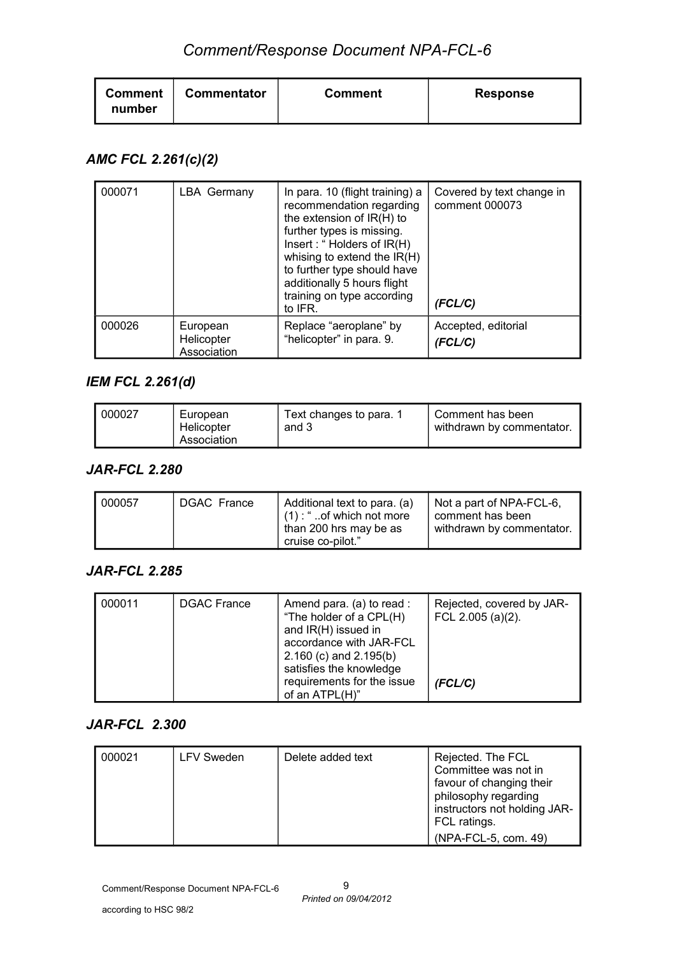| <b>Commentator</b><br><b>Comment</b><br>number | <b>Comment</b> | <b>Response</b> |
|------------------------------------------------|----------------|-----------------|
|------------------------------------------------|----------------|-----------------|

### *AMC FCL 2.261(c)(2)*

| 000071 | <b>LBA Germany</b>                    | In para. 10 (flight training) a<br>recommendation regarding<br>the extension of IR(H) to<br>further types is missing.<br>Insert: "Holders of IR(H)<br>whising to extend the IR(H)<br>to further type should have<br>additionally 5 hours flight<br>training on type according<br>to IFR. | Covered by text change in<br>comment 000073<br>(FCL/C) |
|--------|---------------------------------------|------------------------------------------------------------------------------------------------------------------------------------------------------------------------------------------------------------------------------------------------------------------------------------------|--------------------------------------------------------|
| 000026 | European<br>Helicopter<br>Association | Replace "aeroplane" by<br>"helicopter" in para. 9.                                                                                                                                                                                                                                       | Accepted, editorial<br>(FCL/C)                         |

## *IEM FCL 2.261(d)*

| 000027 | European<br>Helicopter<br>Association | Text changes to para. 1<br>and 3 | Comment has been<br>withdrawn by commentator. |
|--------|---------------------------------------|----------------------------------|-----------------------------------------------|
|--------|---------------------------------------|----------------------------------|-----------------------------------------------|

#### *JAR-FCL 2.280*

| 000057 | <b>DGAC France</b> | Additional text to para. (a)<br>$(1)$ : "of which not more<br>than 200 hrs may be as<br>cruise co-pilot." | Not a part of NPA-FCL-6,<br>l comment has been<br>withdrawn by commentator. |
|--------|--------------------|-----------------------------------------------------------------------------------------------------------|-----------------------------------------------------------------------------|
|--------|--------------------|-----------------------------------------------------------------------------------------------------------|-----------------------------------------------------------------------------|

#### *JAR-FCL 2.285*

| 000011 | <b>DGAC France</b> | Amend para. (a) to read :<br>"The holder of a CPL(H)<br>and IR(H) issued in<br>accordance with JAR-FCL<br>$2.160$ (c) and $2.195(b)$<br>satisfies the knowledge | Rejected, covered by JAR-<br>FCL 2.005 (a)(2). |
|--------|--------------------|-----------------------------------------------------------------------------------------------------------------------------------------------------------------|------------------------------------------------|
|        |                    | requirements for the issue<br>of an ATPL(H)"                                                                                                                    | (FCL/C)                                        |

#### *JAR-FCL 2.300*

| 000021 | <b>LFV Sweden</b> | Delete added text | Rejected. The FCL<br>Committee was not in<br>favour of changing their<br>philosophy regarding<br>instructors not holding JAR-<br>FCL ratings. |
|--------|-------------------|-------------------|-----------------------------------------------------------------------------------------------------------------------------------------------|
|        |                   |                   | (NPA-FCL-5, com. 49)                                                                                                                          |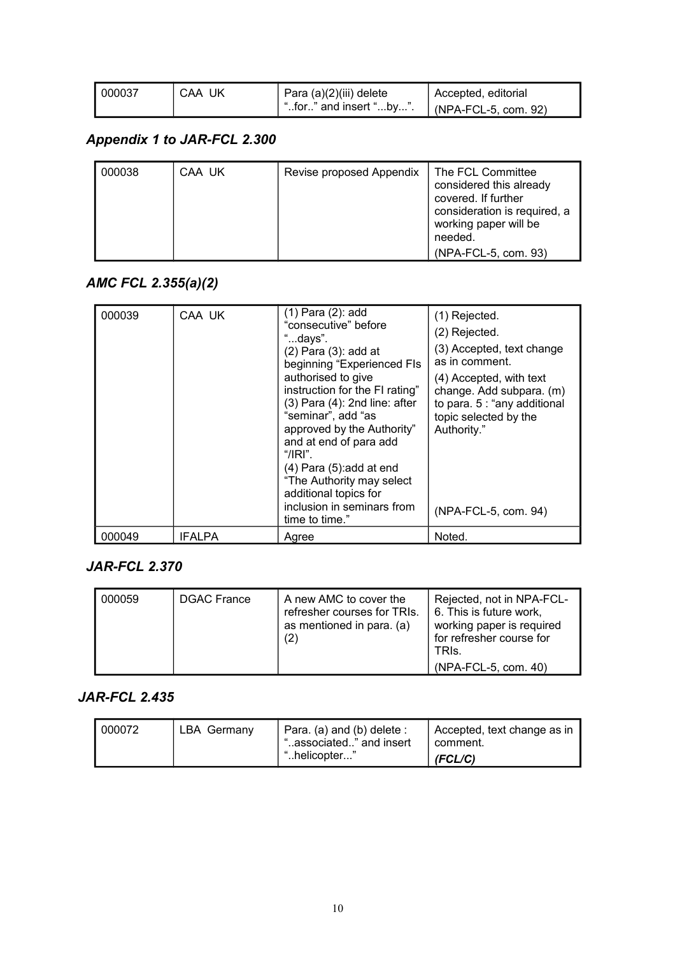| 000037 | CAA UK | Para (a)(2)(iii) delete | Accepted, editorial          |
|--------|--------|-------------------------|------------------------------|
|        |        | "for" and insert "by".  | $\vert$ (NPA-FCL-5, com. 92) |

## *Appendix 1 to JAR-FCL 2.300*

| 000038 | CAA UK | Revise proposed Appendix | The FCL Committee<br>considered this already<br>covered. If further<br>consideration is required, a<br>working paper will be |
|--------|--------|--------------------------|------------------------------------------------------------------------------------------------------------------------------|
|        |        |                          | needed.                                                                                                                      |
|        |        |                          | (NPA-FCL-5, com. 93)                                                                                                         |

### *AMC FCL 2.355(a)(2)*

| 000039 | CAA UK        | $(1)$ Para $(2)$ : add<br>"consecutive" before<br>"days".<br>$(2)$ Para $(3)$ : add at<br>beginning "Experienced FIs<br>authorised to give<br>instruction for the FI rating"<br>$(3)$ Para $(4)$ : 2nd line: after<br>"seminar", add "as<br>approved by the Authority"<br>and at end of para add<br>"/IRI"<br>$(4)$ Para $(5)$ : add at end<br>"The Authority may select<br>additional topics for<br>inclusion in seminars from<br>time to time." | (1) Rejected.<br>(2) Rejected.<br>(3) Accepted, text change<br>as in comment.<br>(4) Accepted, with text<br>change. Add subpara. (m)<br>to para. 5 : "any additional<br>topic selected by the<br>Authority."<br>(NPA-FCL-5, com. 94) |
|--------|---------------|---------------------------------------------------------------------------------------------------------------------------------------------------------------------------------------------------------------------------------------------------------------------------------------------------------------------------------------------------------------------------------------------------------------------------------------------------|--------------------------------------------------------------------------------------------------------------------------------------------------------------------------------------------------------------------------------------|
| 000049 | <b>IFALPA</b> | Agree                                                                                                                                                                                                                                                                                                                                                                                                                                             | Noted.                                                                                                                                                                                                                               |

### *JAR-FCL 2.370*

| 000059 | <b>DGAC France</b> | A new AMC to cover the<br>refresher courses for TRIs.<br>as mentioned in para. (a)<br>(2) | Rejected, not in NPA-FCL-<br>6. This is future work,<br>working paper is required<br>for refresher course for<br>TRIS.<br>(NPA-FCL-5, com. 40) |
|--------|--------------------|-------------------------------------------------------------------------------------------|------------------------------------------------------------------------------------------------------------------------------------------------|
|--------|--------------------|-------------------------------------------------------------------------------------------|------------------------------------------------------------------------------------------------------------------------------------------------|

### *JAR-FCL 2.435*

| 000072 | <b>LBA Germany</b> | Para. (a) and (b) delete :<br>"associated" and insert | Accepted, text change as in<br>comment. |
|--------|--------------------|-------------------------------------------------------|-----------------------------------------|
|        |                    | "helicopter                                           | (FCL/C)                                 |